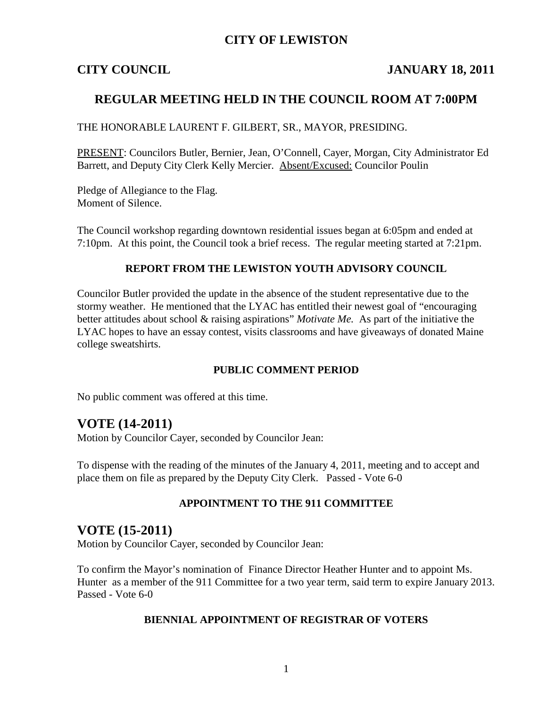## **CITY OF LEWISTON**

## **CITY COUNCIL JANUARY 18, 2011**

## **REGULAR MEETING HELD IN THE COUNCIL ROOM AT 7:00PM**

THE HONORABLE LAURENT F. GILBERT, SR., MAYOR, PRESIDING.

PRESENT: Councilors Butler, Bernier, Jean, O'Connell, Cayer, Morgan, City Administrator Ed Barrett, and Deputy City Clerk Kelly Mercier. Absent/Excused: Councilor Poulin

Pledge of Allegiance to the Flag. Moment of Silence.

The Council workshop regarding downtown residential issues began at 6:05pm and ended at 7:10pm. At this point, the Council took a brief recess. The regular meeting started at 7:21pm.

#### **REPORT FROM THE LEWISTON YOUTH ADVISORY COUNCIL**

Councilor Butler provided the update in the absence of the student representative due to the stormy weather. He mentioned that the LYAC has entitled their newest goal of "encouraging better attitudes about school & raising aspirations" *Motivate Me.* As part of the initiative the LYAC hopes to have an essay contest, visits classrooms and have giveaways of donated Maine college sweatshirts.

### **PUBLIC COMMENT PERIOD**

No public comment was offered at this time.

## **VOTE (14-2011)**

Motion by Councilor Cayer, seconded by Councilor Jean:

To dispense with the reading of the minutes of the January 4, 2011, meeting and to accept and place them on file as prepared by the Deputy City Clerk. Passed - Vote 6-0

### **APPOINTMENT TO THE 911 COMMITTEE**

## **VOTE (15-2011)**

Motion by Councilor Cayer, seconded by Councilor Jean:

To confirm the Mayor's nomination of Finance Director Heather Hunter and to appoint Ms. Hunter as a member of the 911 Committee for a two year term, said term to expire January 2013. Passed - Vote 6-0

#### **BIENNIAL APPOINTMENT OF REGISTRAR OF VOTERS**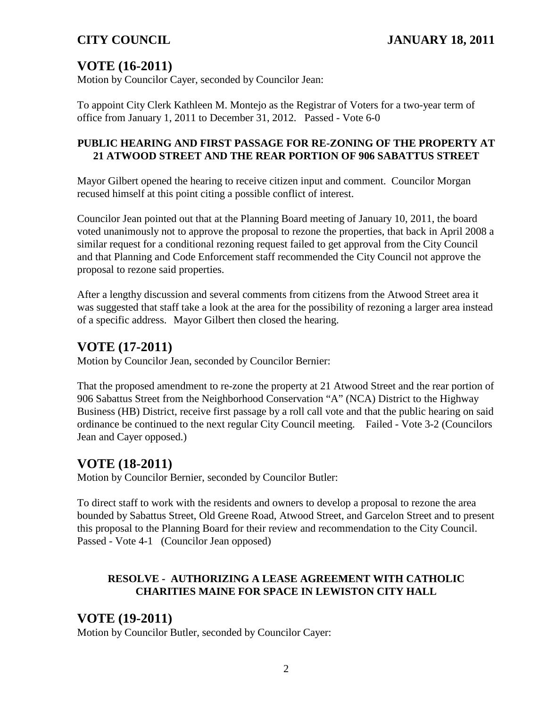# **VOTE (16-2011)**

Motion by Councilor Cayer, seconded by Councilor Jean:

To appoint City Clerk Kathleen M. Montejo as the Registrar of Voters for a two-year term of office from January 1, 2011 to December 31, 2012. Passed - Vote 6-0

## **PUBLIC HEARING AND FIRST PASSAGE FOR RE-ZONING OF THE PROPERTY AT 21 ATWOOD STREET AND THE REAR PORTION OF 906 SABATTUS STREET**

Mayor Gilbert opened the hearing to receive citizen input and comment. Councilor Morgan recused himself at this point citing a possible conflict of interest.

Councilor Jean pointed out that at the Planning Board meeting of January 10, 2011, the board voted unanimously not to approve the proposal to rezone the properties, that back in April 2008 a similar request for a conditional rezoning request failed to get approval from the City Council and that Planning and Code Enforcement staff recommended the City Council not approve the proposal to rezone said properties.

After a lengthy discussion and several comments from citizens from the Atwood Street area it was suggested that staff take a look at the area for the possibility of rezoning a larger area instead of a specific address. Mayor Gilbert then closed the hearing.

# **VOTE (17-2011)**

Motion by Councilor Jean, seconded by Councilor Bernier:

That the proposed amendment to re-zone the property at 21 Atwood Street and the rear portion of 906 Sabattus Street from the Neighborhood Conservation "A" (NCA) District to the Highway Business (HB) District, receive first passage by a roll call vote and that the public hearing on said ordinance be continued to the next regular City Council meeting. Failed - Vote 3-2 (Councilors Jean and Cayer opposed.)

# **VOTE (18-2011)**

Motion by Councilor Bernier, seconded by Councilor Butler:

To direct staff to work with the residents and owners to develop a proposal to rezone the area bounded by Sabattus Street, Old Greene Road, Atwood Street, and Garcelon Street and to present this proposal to the Planning Board for their review and recommendation to the City Council. Passed - Vote 4-1 (Councilor Jean opposed)

## **RESOLVE - AUTHORIZING A LEASE AGREEMENT WITH CATHOLIC CHARITIES MAINE FOR SPACE IN LEWISTON CITY HALL**

# **VOTE (19-2011)**

Motion by Councilor Butler, seconded by Councilor Cayer: